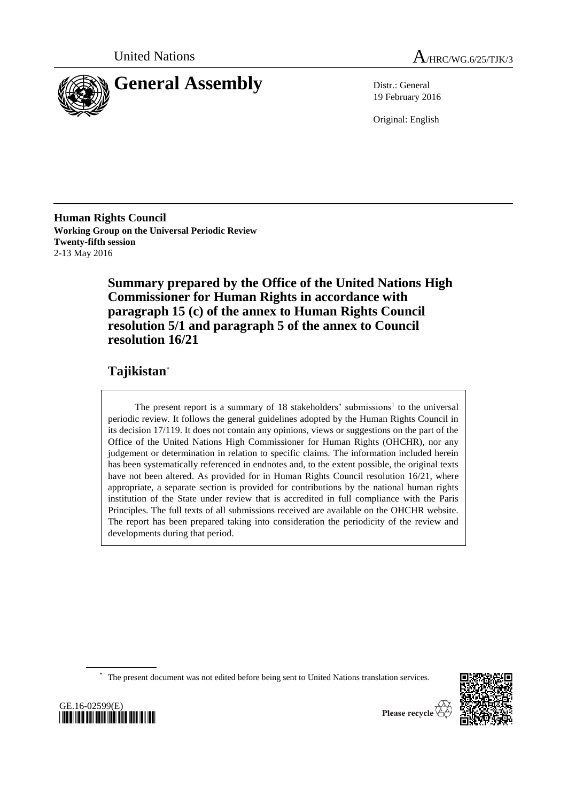



19 February 2016

Original: English

**Human Rights Council Working Group on the Universal Periodic Review Twenty-fifth session** 2-13 May 2016

> **Summary prepared by the Office of the United Nations High Commissioner for Human Rights in accordance with paragraph 15 (c) of the annex to Human Rights Council resolution 5/1 and paragraph 5 of the annex to Council resolution 16/21**

# **Tajikistan**\*

The present report is a summary of 18 stakeholders' submissions<sup>1</sup> to the universal periodic review. It follows the general guidelines adopted by the Human Rights Council in its decision 17/119. It does not contain any opinions, views or suggestions on the part of the Office of the United Nations High Commissioner for Human Rights (OHCHR), nor any judgement or determination in relation to specific claims. The information included herein has been systematically referenced in endnotes and, to the extent possible, the original texts have not been altered. As provided for in Human Rights Council resolution 16/21, where appropriate, a separate section is provided for contributions by the national human rights institution of the State under review that is accredited in full compliance with the Paris Principles. The full texts of all submissions received are available on the OHCHR website. The report has been prepared taking into consideration the periodicity of the review and developments during that period.

\* The present document was not edited before being sent to United Nations translation services.



GE.16-02599(E) *\*1602599\**

Please recycle  $\check{\mathfrak{C}}$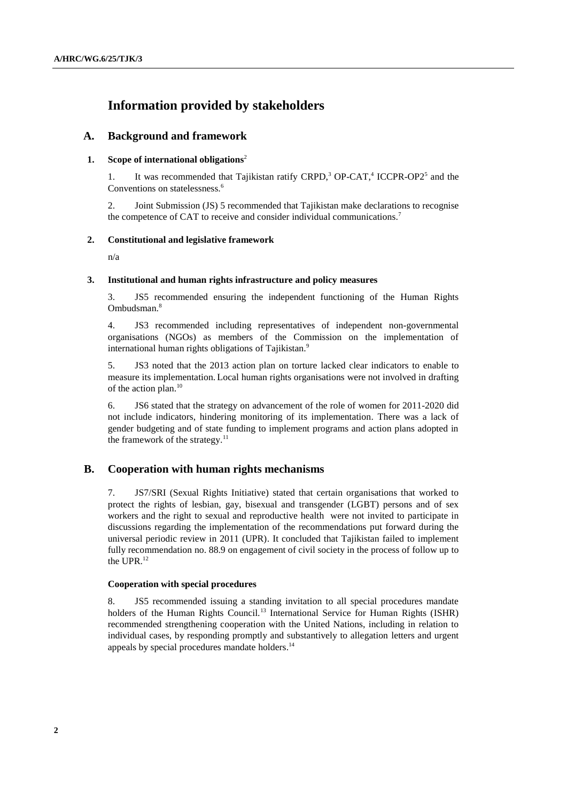# **Information provided by stakeholders**

# **A. Background and framework**

# **1. Scope of international obligations**<sup>2</sup>

1. It was recommended that Tajikistan ratify CRPD,<sup>3</sup> OP-CAT,<sup>4</sup> ICCPR-OP2<sup>5</sup> and the Conventions on statelessness.<sup>6</sup>

2. Joint Submission (JS) 5 recommended that Tajikistan make declarations to recognise the competence of CAT to receive and consider individual communications.<sup>7</sup>

# **2. Constitutional and legislative framework**

n/a

#### **3. Institutional and human rights infrastructure and policy measures**

3. JS5 recommended ensuring the independent functioning of the Human Rights Ombudsman.<sup>8</sup>

4. JS3 recommended including representatives of independent non-governmental organisations (NGOs) as members of the Commission on the implementation of international human rights obligations of Tajikistan.<sup>9</sup>

5. JS3 noted that the 2013 action plan on torture lacked clear indicators to enable to measure its implementation. Local human rights organisations were not involved in drafting of the action plan. 10

6. JS6 stated that the strategy on advancement of the role of women for 2011-2020 did not include indicators, hindering monitoring of its implementation. There was a lack of gender budgeting and of state funding to implement programs and action plans adopted in the framework of the strategy. $^{11}$ 

# **B. Cooperation with human rights mechanisms**

7. JS7/SRI (Sexual Rights Initiative) stated that certain organisations that worked to protect the rights of lesbian, gay, bisexual and transgender (LGBT) persons and of sex workers and the right to sexual and reproductive health were not invited to participate in discussions regarding the implementation of the recommendations put forward during the universal periodic review in 2011 (UPR). It concluded that Tajikistan failed to implement fully recommendation no. 88.9 on engagement of civil society in the process of follow up to the UPR. 12

### **Cooperation with special procedures**

8. JS5 recommended issuing a standing invitation to all special procedures mandate holders of the Human Rights Council.<sup>13</sup> International Service for Human Rights (ISHR) recommended strengthening cooperation with the United Nations, including in relation to individual cases, by responding promptly and substantively to allegation letters and urgent appeals by special procedures mandate holders.<sup>14</sup>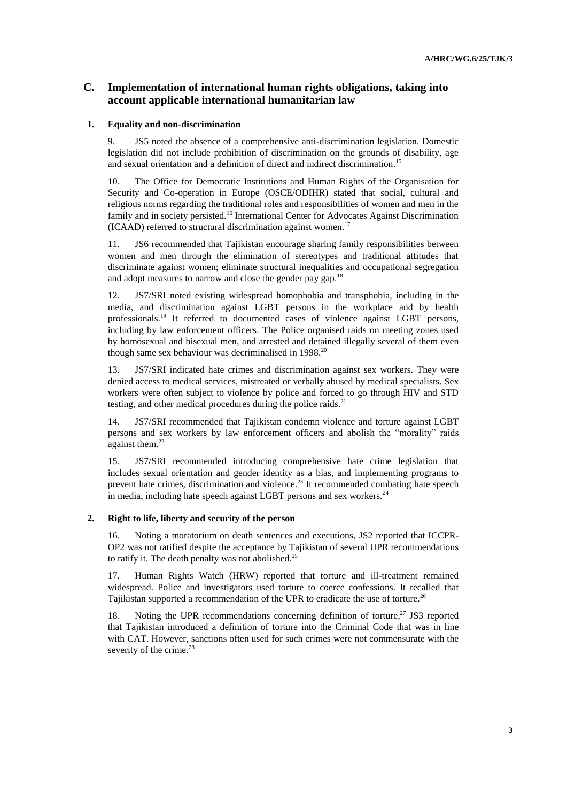# **C. Implementation of international human rights obligations, taking into account applicable international humanitarian law**

## **1. Equality and non-discrimination**

9. JS5 noted the absence of a comprehensive anti-discrimination legislation. Domestic legislation did not include prohibition of discrimination on the grounds of disability, age and sexual orientation and a definition of direct and indirect discrimination. 15

10. The Office for Democratic Institutions and Human Rights of the Organisation for Security and Co-operation in Europe (OSCE/ODIHR) stated that social, cultural and religious norms regarding the traditional roles and responsibilities of women and men in the family and in society persisted.<sup>16</sup> International Center for Advocates Against Discrimination  $(ICAAD)$  referred to structural discrimination against women.<sup>17</sup>

11. JS6 recommended that Tajikistan encourage sharing family responsibilities between women and men through the elimination of stereotypes and traditional attitudes that discriminate against women; eliminate structural inequalities and occupational segregation and adopt measures to narrow and close the gender pay gap.<sup>18</sup>

12. JS7/SRI noted existing widespread homophobia and transphobia, including in the media, and discrimination against LGBT persons in the workplace and by health professionals.<sup>19</sup> It referred to documented cases of violence against LGBT persons, including by law enforcement officers. The Police organised raids on meeting zones used by homosexual and bisexual men, and arrested and detained illegally several of them even though same sex behaviour was decriminalised in  $1998$ <sup>20</sup>

13. JS7/SRI indicated hate crimes and discrimination against sex workers. They were denied access to medical services, mistreated or verbally abused by medical specialists. Sex workers were often subject to violence by police and forced to go through HIV and STD testing, and other medical procedures during the police raids.<sup>21</sup>

14. JS7/SRI recommended that Tajikistan condemn violence and torture against LGBT persons and sex workers by law enforcement officers and abolish the "morality" raids against them. 22

15. JS7/SRI recommended introducing comprehensive hate crime legislation that includes sexual orientation and gender identity as a bias, and implementing programs to prevent hate crimes, discrimination and violence.<sup>23</sup> It recommended combating hate speech in media, including hate speech against LGBT persons and sex workers.<sup>24</sup>

# **2. Right to life, liberty and security of the person**

16. Noting a moratorium on death sentences and executions, JS2 reported that ICCPR-OP2 was not ratified despite the acceptance by Tajikistan of several UPR recommendations to ratify it. The death penalty was not abolished.<sup>25</sup>

17. Human Rights Watch (HRW) reported that torture and ill-treatment remained widespread. Police and investigators used torture to coerce confessions. It recalled that Tajikistan supported a recommendation of the UPR to eradicate the use of torture.<sup>26</sup>

18. Noting the UPR recommendations concerning definition of torture,<sup>27</sup> JS3 reported that Tajikistan introduced a definition of torture into the Criminal Code that was in line with CAT. However, sanctions often used for such crimes were not commensurate with the severity of the crime.<sup>28</sup>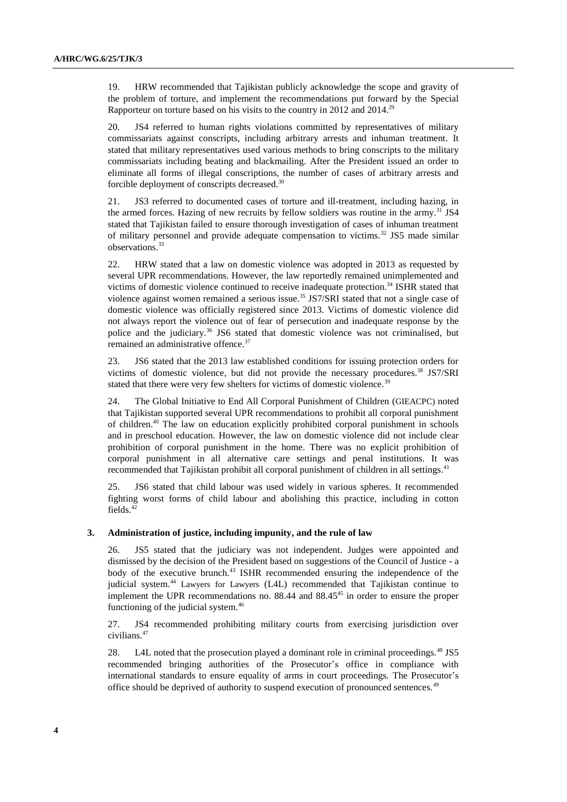19. HRW recommended that Tajikistan publicly acknowledge the scope and gravity of the problem of torture, and implement the recommendations put forward by the Special Rapporteur on torture based on his visits to the country in 2012 and 2014.<sup>29</sup>

20. JS4 referred to human rights violations committed by representatives of military commissariats against conscripts, including arbitrary arrests and inhuman treatment. It stated that military representatives used various methods to bring conscripts to the military commissariats including beating and blackmailing. After the President issued an order to eliminate all forms of illegal conscriptions, the number of cases of arbitrary arrests and forcible deployment of conscripts decreased.<sup>30</sup>

21. JS3 referred to documented cases of torture and ill-treatment, including hazing, in the armed forces. Hazing of new recruits by fellow soldiers was routine in the army.<sup>31</sup> JS4 stated that Tajikistan failed to ensure thorough investigation of cases of inhuman treatment of military personnel and provide adequate compensation to victims.<sup>32</sup> JS5 made similar observations.<sup>33</sup>

22. HRW stated that a law on domestic violence was adopted in 2013 as requested by several UPR recommendations. However, the law reportedly remained unimplemented and victims of domestic violence continued to receive inadequate protection.<sup>34</sup> ISHR stated that violence against women remained a serious issue.<sup>35</sup> JS7/SRI stated that not a single case of domestic violence was officially registered since 2013. Victims of domestic violence did not always report the violence out of fear of persecution and inadequate response by the police and the judiciary.<sup>36</sup> JS6 stated that domestic violence was not criminalised, but remained an administrative offence.<sup>37</sup>

23. JS6 stated that the 2013 law established conditions for issuing protection orders for victims of domestic violence, but did not provide the necessary procedures. <sup>38</sup> JS7/SRI stated that there were very few shelters for victims of domestic violence.<sup>39</sup>

24. The Global Initiative to End All Corporal Punishment of Children (GIEACPC) noted that Tajikistan supported several UPR recommendations to prohibit all corporal punishment of children. <sup>40</sup> The law on education explicitly prohibited corporal punishment in schools and in preschool education. However, the law on domestic violence did not include clear prohibition of corporal punishment in the home. There was no explicit prohibition of corporal punishment in all alternative care settings and penal institutions. It was recommended that Tajikistan prohibit all corporal punishment of children in all settings.<sup>41</sup>

25. JS6 stated that child labour was used widely in various spheres. It recommended fighting worst forms of child labour and abolishing this practice, including in cotton fields. $42$ 

#### **3. Administration of justice, including impunity, and the rule of law**

26. JS5 stated that the judiciary was not independent. Judges were appointed and dismissed by the decision of the President based on suggestions of the Council of Justice - a body of the executive brunch.<sup>43</sup> ISHR recommended ensuring the independence of the judicial system.<sup>44</sup> Lawyers for Lawyers (L4L) recommended that Tajikistan continue to implement the UPR recommendations no.  $88.44$  and  $88.45^{45}$  in order to ensure the proper functioning of the judicial system. 46

27. JS4 recommended prohibiting military courts from exercising jurisdiction over civilians.<sup>47</sup>

28. L4L noted that the prosecution played a dominant role in criminal proceedings.<sup>48</sup> JS5 recommended bringing authorities of the Prosecutor's office in compliance with international standards to ensure equality of arms in court proceedings. The Prosecutor's office should be deprived of authority to suspend execution of pronounced sentences.<sup>49</sup>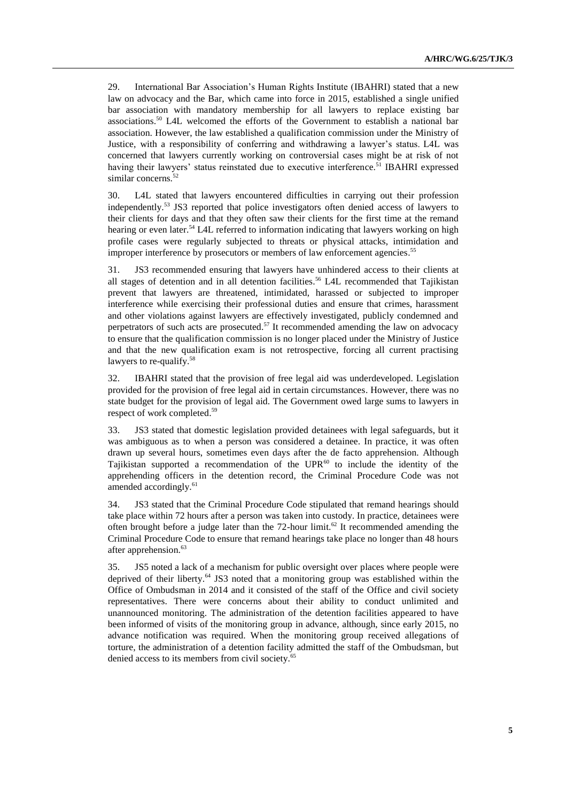29. International Bar Association's Human Rights Institute (IBAHRI) stated that a new law on advocacy and the Bar, which came into force in 2015, established a single unified bar association with mandatory membership for all lawyers to replace existing bar associations.<sup>50</sup> L4L welcomed the efforts of the Government to establish a national bar association. However, the law established a qualification commission under the Ministry of Justice, with a responsibility of conferring and withdrawing a lawyer's status. L4L was concerned that lawyers currently working on controversial cases might be at risk of not having their lawyers' status reinstated due to executive interference.<sup>51</sup> IBAHRI expressed similar concerns.<sup>52</sup>

30. L4L stated that lawyers encountered difficulties in carrying out their profession independently.<sup>53</sup> JS3 reported that police investigators often denied access of lawyers to their clients for days and that they often saw their clients for the first time at the remand hearing or even later.<sup>54</sup> L4L referred to information indicating that lawyers working on high profile cases were regularly subjected to threats or physical attacks, intimidation and improper interference by prosecutors or members of law enforcement agencies. 55

31. JS3 recommended ensuring that lawyers have unhindered access to their clients at all stages of detention and in all detention facilities. <sup>56</sup> L4L recommended that Tajikistan prevent that lawyers are threatened, intimidated, harassed or subjected to improper interference while exercising their professional duties and ensure that crimes, harassment and other violations against lawyers are effectively investigated, publicly condemned and perpetrators of such acts are prosecuted.<sup>57</sup> It recommended amending the law on advocacy to ensure that the qualification commission is no longer placed under the Ministry of Justice and that the new qualification exam is not retrospective, forcing all current practising lawyers to re-qualify.<sup>58</sup>

32. IBAHRI stated that the provision of free legal aid was underdeveloped. Legislation provided for the provision of free legal aid in certain circumstances. However, there was no state budget for the provision of legal aid. The Government owed large sums to lawyers in respect of work completed. 59

33. JS3 stated that domestic legislation provided detainees with legal safeguards, but it was ambiguous as to when a person was considered a detainee. In practice, it was often drawn up several hours, sometimes even days after the de facto apprehension. Although Tajikistan supported a recommendation of the  $UPR^{60}$  to include the identity of the apprehending officers in the detention record, the Criminal Procedure Code was not amended accordingly.<sup>61</sup>

34. JS3 stated that the Criminal Procedure Code stipulated that remand hearings should take place within 72 hours after a person was taken into custody. In practice, detainees were often brought before a judge later than the 72-hour limit.<sup>62</sup> It recommended amending the Criminal Procedure Code to ensure that remand hearings take place no longer than 48 hours after apprehension.<sup>63</sup>

35. JS5 noted a lack of a mechanism for public oversight over places where people were deprived of their liberty. <sup>64</sup> JS3 noted that a monitoring group was established within the Office of Ombudsman in 2014 and it consisted of the staff of the Office and civil society representatives. There were concerns about their ability to conduct unlimited and unannounced monitoring. The administration of the detention facilities appeared to have been informed of visits of the monitoring group in advance, although, since early 2015, no advance notification was required. When the monitoring group received allegations of torture, the administration of a detention facility admitted the staff of the Ombudsman, but denied access to its members from civil society. 65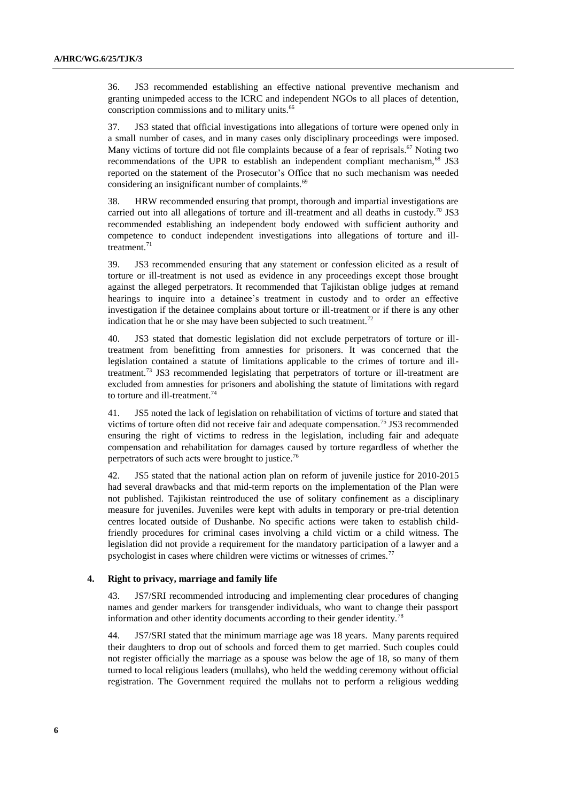36. JS3 recommended establishing an effective national preventive mechanism and granting unimpeded access to the ICRC and independent NGOs to all places of detention, conscription commissions and to military units. 66

37. JS3 stated that official investigations into allegations of torture were opened only in a small number of cases, and in many cases only disciplinary proceedings were imposed. Many victims of torture did not file complaints because of a fear of reprisals.<sup>67</sup> Noting two recommendations of the UPR to establish an independent compliant mechanism, $^{68}$  JS3 reported on the statement of the Prosecutor's Office that no such mechanism was needed considering an insignificant number of complaints.<sup>69</sup>

38. HRW recommended ensuring that prompt, thorough and impartial investigations are carried out into all allegations of torture and ill-treatment and all deaths in custody.<sup>70</sup> JS3 recommended establishing an independent body endowed with sufficient authority and competence to conduct independent investigations into allegations of torture and illtreatment. $71$ 

39. JS3 recommended ensuring that any statement or confession elicited as a result of torture or ill-treatment is not used as evidence in any proceedings except those brought against the alleged perpetrators. It recommended that Tajikistan oblige judges at remand hearings to inquire into a detainee's treatment in custody and to order an effective investigation if the detainee complains about torture or ill-treatment or if there is any other indication that he or she may have been subjected to such treatment.<sup>72</sup>

40. JS3 stated that domestic legislation did not exclude perpetrators of torture or illtreatment from benefitting from amnesties for prisoners. It was concerned that the legislation contained a statute of limitations applicable to the crimes of torture and illtreatment.<sup>73</sup> JS3 recommended legislating that perpetrators of torture or ill-treatment are excluded from amnesties for prisoners and abolishing the statute of limitations with regard to torture and ill-treatment. $74$ 

41. JS5 noted the lack of legislation on rehabilitation of victims of torture and stated that victims of torture often did not receive fair and adequate compensation.<sup>75</sup> JS3 recommended ensuring the right of victims to redress in the legislation, including fair and adequate compensation and rehabilitation for damages caused by torture regardless of whether the perpetrators of such acts were brought to justice.<sup>76</sup>

42. JS5 stated that the national action plan on reform of juvenile justice for 2010-2015 had several drawbacks and that mid-term reports on the implementation of the Plan were not published. Tajikistan reintroduced the use of solitary confinement as a disciplinary measure for juveniles. Juveniles were kept with adults in temporary or pre-trial detention centres located outside of Dushanbe. No specific actions were taken to establish childfriendly procedures for criminal cases involving a child victim or a child witness. The legislation did not provide a requirement for the mandatory participation of a lawyer and a psychologist in cases where children were victims or witnesses of crimes.<sup>77</sup>

#### **4. Right to privacy, marriage and family life**

43. JS7/SRI recommended introducing and implementing clear procedures of changing names and gender markers for transgender individuals, who want to change their passport information and other identity documents according to their gender identity.<sup>7</sup>

44. JS7/SRI stated that the minimum marriage age was 18 years. Many parents required their daughters to drop out of schools and forced them to get married. Such couples could not register officially the marriage as a spouse was below the age of 18, so many of them turned to local religious leaders (mullahs), who held the wedding ceremony without official registration. The Government required the mullahs not to perform a religious wedding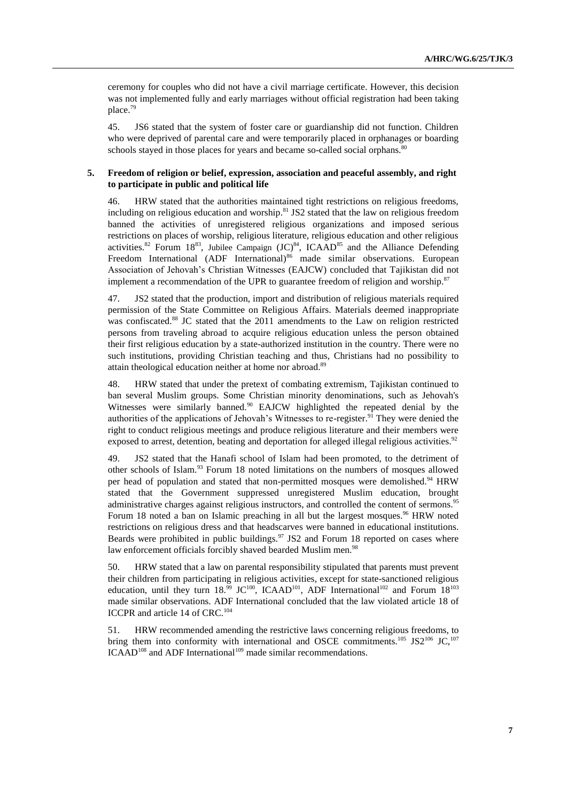ceremony for couples who did not have a civil marriage certificate. However, this decision was not implemented fully and early marriages without official registration had been taking place. 79

45. JS6 stated that the system of foster care or guardianship did not function. Children who were deprived of parental care and were temporarily placed in orphanages or boarding schools stayed in those places for years and became so-called social orphans.<sup>80</sup>

# **5. Freedom of religion or belief, expression, association and peaceful assembly, and right to participate in public and political life**

46. HRW stated that the authorities maintained tight restrictions on religious freedoms, including on religious education and worship. <sup>81</sup> JS2 stated that the law on religious freedom banned the activities of unregistered religious organizations and imposed serious restrictions on places of worship, religious literature, religious education and other religious activities.<sup>82</sup> Forum 18<sup>83</sup>, Jubilee Campaign  ${(JC)}^{84}$ , ICAAD<sup>85</sup> and the Alliance Defending Freedom International (ADF International)<sup>86</sup> made similar observations. European Association of Jehovah's Christian Witnesses (EAJCW) concluded that Tajikistan did not implement a recommendation of the UPR to guarantee freedom of religion and worship.<sup>87</sup>

47. JS2 stated that the production, import and distribution of religious materials required permission of the State Committee on Religious Affairs. Materials deemed inappropriate was confiscated.<sup>88</sup> JC stated that the 2011 amendments to the Law on religion restricted persons from traveling abroad to acquire religious education unless the person obtained their first religious education by a state-authorized institution in the country. There were no such institutions, providing Christian teaching and thus, Christians had no possibility to attain theological education neither at home nor abroad.<sup>89</sup>

48. HRW stated that under the pretext of combating extremism, Tajikistan continued to ban several Muslim groups. Some Christian minority denominations, such as Jehovah's Witnesses were similarly banned.<sup>90</sup> EAJCW highlighted the repeated denial by the authorities of the applications of Jehovah's Witnesses to re-register.<sup>91</sup> They were denied the right to conduct religious meetings and produce religious literature and their members were exposed to arrest, detention, beating and deportation for alleged illegal religious activities.<sup>92</sup>

49. JS2 stated that the Hanafi school of Islam had been promoted, to the detriment of other schools of Islam. <sup>93</sup> Forum 18 noted limitations on the numbers of mosques allowed per head of population and stated that non-permitted mosques were demolished.<sup>94</sup> HRW stated that the Government suppressed unregistered Muslim education, brought administrative charges against religious instructors, and controlled the content of sermons.<sup>95</sup> Forum 18 noted a ban on Islamic preaching in all but the largest mosques.<sup>96</sup> HRW noted restrictions on religious dress and that headscarves were banned in educational institutions. Beards were prohibited in public buildings.<sup>97</sup> JS2 and Forum 18 reported on cases where law enforcement officials forcibly shaved bearded Muslim men.<sup>98</sup>

50. HRW stated that a law on parental responsibility stipulated that parents must prevent their children from participating in religious activities, except for state-sanctioned religious education, until they turn  $18.^{99}$  JC<sup>100</sup>, ICAAD<sup>101</sup>, ADF International<sup>102</sup> and Forum  $18^{103}$ made similar observations. ADF International concluded that the law violated article 18 of ICCPR and article 14 of CRC.<sup>104</sup>

51. HRW recommended amending the restrictive laws concerning religious freedoms, to bring them into conformity with international and OSCE commitments.<sup>105</sup> JS2<sup>106</sup> JC,<sup>107</sup> ICAAD<sup>108</sup> and ADF International<sup>109</sup> made similar recommendations.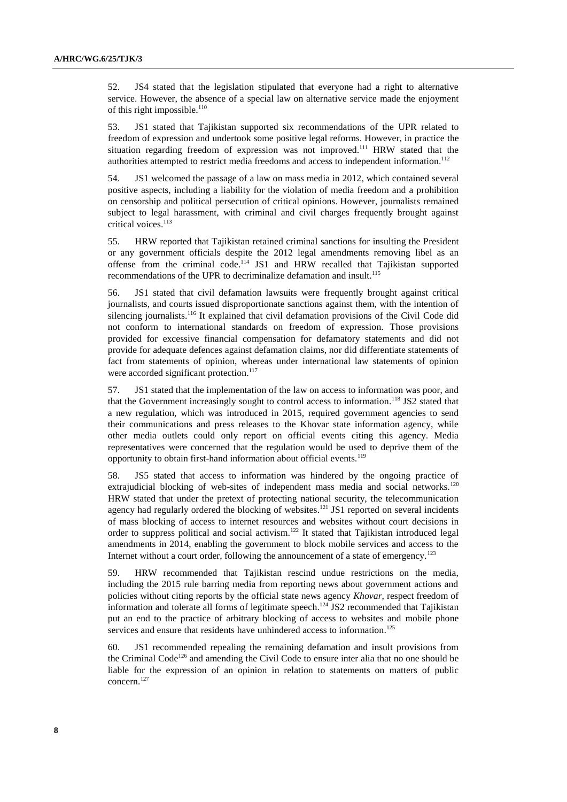52. JS4 stated that the legislation stipulated that everyone had a right to alternative service. However, the absence of a special law on alternative service made the enjoyment of this right impossible. $110$ 

53. JS1 stated that Tajikistan supported six recommendations of the UPR related to freedom of expression and undertook some positive legal reforms. However, in practice the situation regarding freedom of expression was not improved.<sup>111</sup> HRW stated that the authorities attempted to restrict media freedoms and access to independent information.<sup>112</sup>

54. JS1 welcomed the passage of a law on mass media in 2012, which contained several positive aspects, including a liability for the violation of media freedom and a prohibition on censorship and political persecution of critical opinions. However, journalists remained subject to legal harassment, with criminal and civil charges frequently brought against critical voices. 113

55. HRW reported that Tajikistan retained criminal sanctions for insulting the President or any government officials despite the 2012 legal amendments removing libel as an offense from the criminal code.<sup>114</sup> JS1 and HRW recalled that Tajikistan supported recommendations of the UPR to decriminalize defamation and insult.<sup>115</sup>

56. JS1 stated that civil defamation lawsuits were frequently brought against critical journalists, and courts issued disproportionate sanctions against them, with the intention of silencing journalists.<sup>116</sup> It explained that civil defamation provisions of the Civil Code did not conform to international standards on freedom of expression. Those provisions provided for excessive financial compensation for defamatory statements and did not provide for adequate defences against defamation claims, nor did differentiate statements of fact from statements of opinion, whereas under international law statements of opinion were accorded significant protection.<sup>117</sup>

57. JS1 stated that the implementation of the law on access to information was poor, and that the Government increasingly sought to control access to information.<sup>118</sup> JS2 stated that a new regulation, which was introduced in 2015, required government agencies to send their communications and press releases to the Khovar state information agency, while other media outlets could only report on official events citing this agency. Media representatives were concerned that the regulation would be used to deprive them of the opportunity to obtain first-hand information about official events.<sup>119</sup>

58. JS5 stated that access to information was hindered by the ongoing practice of extrajudicial blocking of web-sites of independent mass media and social networks.<sup>120</sup> HRW stated that under the pretext of protecting national security, the telecommunication agency had regularly ordered the blocking of websites.<sup>121</sup> JS1 reported on several incidents of mass blocking of access to internet resources and websites without court decisions in order to suppress political and social activism.<sup>122</sup> It stated that Tajikistan introduced legal amendments in 2014, enabling the government to block mobile services and access to the Internet without a court order, following the announcement of a state of emergency.<sup>123</sup>

59. HRW recommended that Tajikistan rescind undue restrictions on the media, including the 2015 rule barring media from reporting news about government actions and policies without citing reports by the official state news agency *Khovar*, respect freedom of information and tolerate all forms of legitimate speech.<sup>124</sup> JS2 recommended that Tajikistan put an end to the practice of arbitrary blocking of access to websites and mobile phone services and ensure that residents have unhindered access to information.<sup>125</sup>

60. JS1 recommended repealing the remaining defamation and insult provisions from the Criminal Code<sup>126</sup> and amending the Civil Code to ensure inter alia that no one should be liable for the expression of an opinion in relation to statements on matters of public concern. 127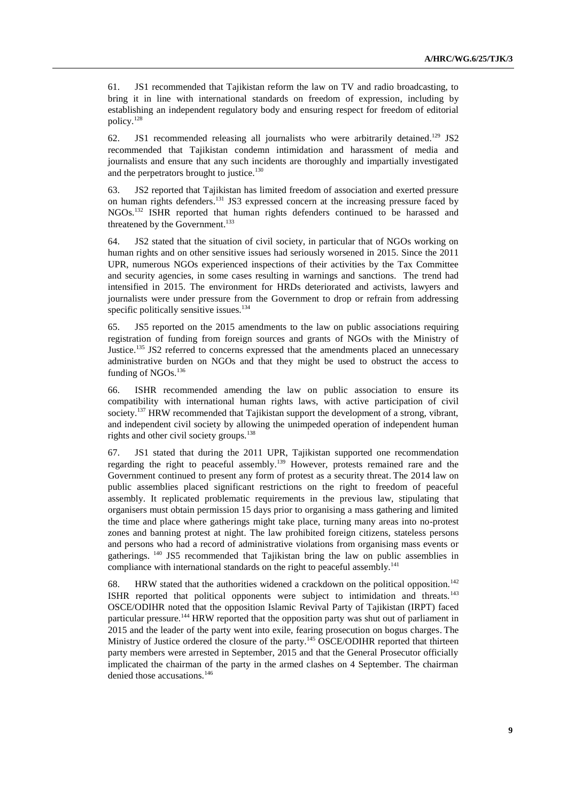61. JS1 recommended that Tajikistan reform the law on TV and radio broadcasting, to bring it in line with international standards on freedom of expression, including by establishing an independent regulatory body and ensuring respect for freedom of editorial policy. 128

62. JS1 recommended releasing all journalists who were arbitrarily detained.<sup>129</sup> JS2 recommended that Tajikistan condemn intimidation and harassment of media and journalists and ensure that any such incidents are thoroughly and impartially investigated and the perpetrators brought to justice. $130$ 

63. JS2 reported that Tajikistan has limited freedom of association and exerted pressure on human rights defenders.<sup>131</sup> JS3 expressed concern at the increasing pressure faced by NGOs.<sup>132</sup> ISHR reported that human rights defenders continued to be harassed and threatened by the Government. 133

64. JS2 stated that the situation of civil society, in particular that of NGOs working on human rights and on other sensitive issues had seriously worsened in 2015. Since the 2011 UPR, numerous NGOs experienced inspections of their activities by the Tax Committee and security agencies, in some cases resulting in warnings and sanctions. The trend had intensified in 2015. The environment for HRDs deteriorated and activists, lawyers and journalists were under pressure from the Government to drop or refrain from addressing specific politically sensitive issues.<sup>134</sup>

65. JS5 reported on the 2015 amendments to the law on public associations requiring registration of funding from foreign sources and grants of NGOs with the Ministry of Justice.<sup>135</sup> JS2 referred to concerns expressed that the amendments placed an unnecessary administrative burden on NGOs and that they might be used to obstruct the access to funding of NGOs.<sup>136</sup>

66. ISHR recommended amending the law on public association to ensure its compatibility with international human rights laws, with active participation of civil society.<sup>137</sup> HRW recommended that Tajikistan support the development of a strong, vibrant, and independent civil society by allowing the unimpeded operation of independent human rights and other civil society groups.<sup>138</sup>

67. JS1 stated that during the 2011 UPR, Tajikistan supported one recommendation regarding the right to peaceful assembly.<sup>139</sup> However, protests remained rare and the Government continued to present any form of protest as a security threat. The 2014 law on public assemblies placed significant restrictions on the right to freedom of peaceful assembly. It replicated problematic requirements in the previous law, stipulating that organisers must obtain permission 15 days prior to organising a mass gathering and limited the time and place where gatherings might take place, turning many areas into no-protest zones and banning protest at night. The law prohibited foreign citizens, stateless persons and persons who had a record of administrative violations from organising mass events or gatherings. <sup>140</sup> JS5 recommended that Tajikistan bring the law on public assemblies in compliance with international standards on the right to peaceful assembly.<sup>141</sup>

68. HRW stated that the authorities widened a crackdown on the political opposition.<sup>142</sup> ISHR reported that political opponents were subject to intimidation and threats.<sup>143</sup> OSCE/ODIHR noted that the opposition Islamic Revival Party of Tajikistan (IRPT) faced particular pressure.<sup>144</sup> HRW reported that the opposition party was shut out of parliament in 2015 and the leader of the party went into exile, fearing prosecution on bogus charges. The Ministry of Justice ordered the closure of the party.<sup>145</sup> OSCE/ODIHR reported that thirteen party members were arrested in September, 2015 and that the General Prosecutor officially implicated the chairman of the party in the armed clashes on 4 September. The chairman denied those accusations.<sup>146</sup>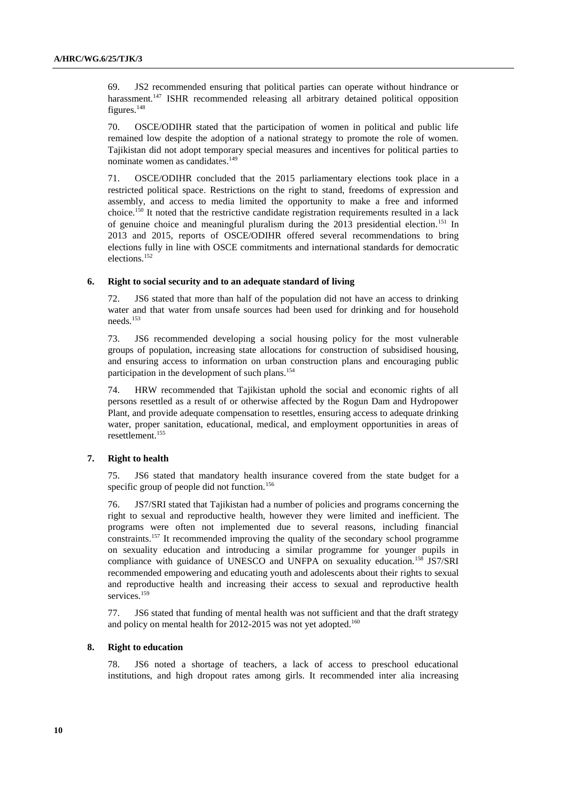69. JS2 recommended ensuring that political parties can operate without hindrance or harassment.<sup>147</sup> ISHR recommended releasing all arbitrary detained political opposition figures.<sup>148</sup>

70. OSCE/ODIHR stated that the participation of women in political and public life remained low despite the adoption of a national strategy to promote the role of women. Tajikistan did not adopt temporary special measures and incentives for political parties to nominate women as candidates.<sup>149</sup>

71. OSCE/ODIHR concluded that the 2015 parliamentary elections took place in a restricted political space. Restrictions on the right to stand, freedoms of expression and assembly, and access to media limited the opportunity to make a free and informed choice.<sup>150</sup> It noted that the restrictive candidate registration requirements resulted in a lack of genuine choice and meaningful pluralism during the 2013 presidential election.<sup>151</sup> In 2013 and 2015, reports of OSCE/ODIHR offered several recommendations to bring elections fully in line with OSCE commitments and international standards for democratic elections. 152

#### **6. Right to social security and to an adequate standard of living**

72. JS6 stated that more than half of the population did not have an access to drinking water and that water from unsafe sources had been used for drinking and for household needs.<sup>153</sup>

73. JS6 recommended developing a social housing policy for the most vulnerable groups of population, increasing state allocations for construction of subsidised housing, and ensuring access to information on urban construction plans and encouraging public participation in the development of such plans.<sup>154</sup>

74. HRW recommended that Tajikistan uphold the social and economic rights of all persons resettled as a result of or otherwise affected by the Rogun Dam and Hydropower Plant, and provide adequate compensation to resettles, ensuring access to adequate drinking water, proper sanitation, educational, medical, and employment opportunities in areas of resettlement.<sup>155</sup>

# **7. Right to health**

75. JS6 stated that mandatory health insurance covered from the state budget for a specific group of people did not function.<sup>156</sup>

76. JS7/SRI stated that Tajikistan had a number of policies and programs concerning the right to sexual and reproductive health, however they were limited and inefficient. The programs were often not implemented due to several reasons, including financial constraints. <sup>157</sup> It recommended improving the quality of the secondary school programme on sexuality education and introducing a similar programme for younger pupils in compliance with guidance of UNESCO and UNFPA on sexuality education.<sup>158</sup> JS7/SRI recommended empowering and educating youth and adolescents about their rights to sexual and reproductive health and increasing their access to sexual and reproductive health services. 159

77. JS6 stated that funding of mental health was not sufficient and that the draft strategy and policy on mental health for 2012-2015 was not yet adopted.<sup>160</sup>

#### **8. Right to education**

78. JS6 noted a shortage of teachers, a lack of access to preschool educational institutions, and high dropout rates among girls. It recommended inter alia increasing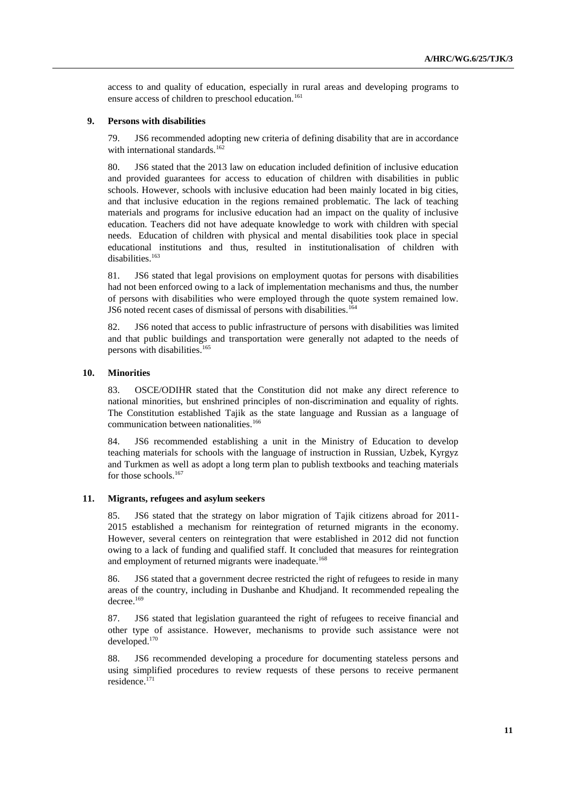access to and quality of education, especially in rural areas and developing programs to ensure access of children to preschool education.<sup>161</sup>

### **9. Persons with disabilities**

79. JS6 recommended adopting new criteria of defining disability that are in accordance with international standards.<sup>162</sup>

80. JS6 stated that the 2013 law on education included definition of inclusive education and provided guarantees for access to education of children with disabilities in public schools. However, schools with inclusive education had been mainly located in big cities, and that inclusive education in the regions remained problematic. The lack of teaching materials and programs for inclusive education had an impact on the quality of inclusive education. Teachers did not have adequate knowledge to work with children with special needs. Education of children with physical and mental disabilities took place in special educational institutions and thus, resulted in institutionalisation of children with disabilities.<sup>163</sup>

81. JS6 stated that legal provisions on employment quotas for persons with disabilities had not been enforced owing to a lack of implementation mechanisms and thus, the number of persons with disabilities who were employed through the quote system remained low. JS6 noted recent cases of dismissal of persons with disabilities.<sup>164</sup>

82. JS6 noted that access to public infrastructure of persons with disabilities was limited and that public buildings and transportation were generally not adapted to the needs of persons with disabilities.<sup>165</sup>

## **10. Minorities**

83. OSCE/ODIHR stated that the Constitution did not make any direct reference to national minorities, but enshrined principles of non-discrimination and equality of rights. The Constitution established Tajik as the state language and Russian as a language of communication between nationalities.<sup>166</sup>

84. JS6 recommended establishing a unit in the Ministry of Education to develop teaching materials for schools with the language of instruction in Russian, Uzbek, Kyrgyz and Turkmen as well as adopt a long term plan to publish textbooks and teaching materials for those schools.<sup>167</sup>

#### **11. Migrants, refugees and asylum seekers**

85. JS6 stated that the strategy on labor migration of Tajik citizens abroad for 2011- 2015 established a mechanism for reintegration of returned migrants in the economy. However, several centers on reintegration that were established in 2012 did not function owing to a lack of funding and qualified staff. It concluded that measures for reintegration and employment of returned migrants were inadequate.<sup>168</sup>

86. JS6 stated that a government decree restricted the right of refugees to reside in many areas of the country, including in Dushanbe and Khudjand. It recommended repealing the decree. 169

87. JS6 stated that legislation guaranteed the right of refugees to receive financial and other type of assistance. However, mechanisms to provide such assistance were not developed. 170

88. JS6 recommended developing a procedure for documenting stateless persons and using simplified procedures to review requests of these persons to receive permanent residence.171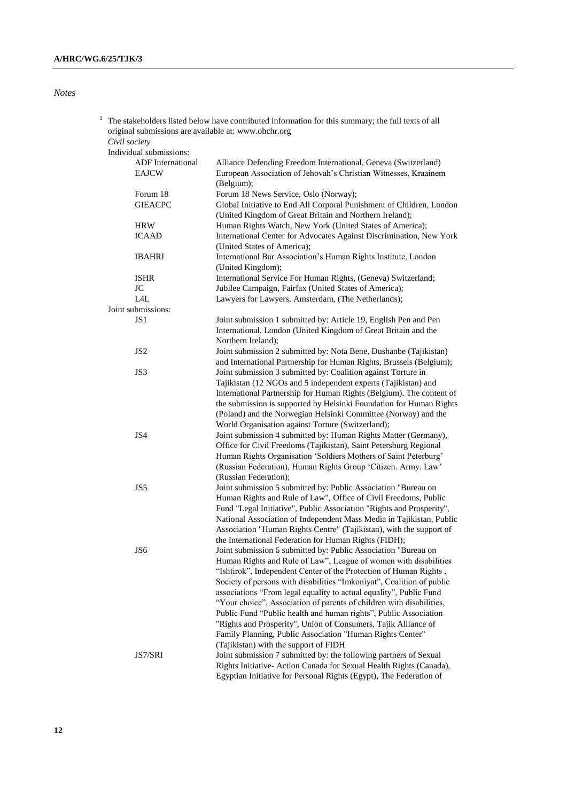# *Notes*

| The stakeholders listed below have contributed information for this summary; the full texts of all |                                                                       |  |
|----------------------------------------------------------------------------------------------------|-----------------------------------------------------------------------|--|
| original submissions are available at: www.ohchr.org                                               |                                                                       |  |
| Civil society                                                                                      |                                                                       |  |
| Individual submissions:                                                                            |                                                                       |  |
| <b>ADF</b> International                                                                           | Alliance Defending Freedom International, Geneva (Switzerland)        |  |
| <b>EAJCW</b>                                                                                       | European Association of Jehovah's Christian Witnesses, Kraainem       |  |
|                                                                                                    | (Belgium);                                                            |  |
| Forum 18                                                                                           | Forum 18 News Service, Oslo (Norway);                                 |  |
| <b>GIEACPC</b>                                                                                     | Global Initiative to End All Corporal Punishment of Children, London  |  |
|                                                                                                    | (United Kingdom of Great Britain and Northern Ireland);               |  |
| <b>HRW</b>                                                                                         | Human Rights Watch, New York (United States of America);              |  |
| <b>ICAAD</b>                                                                                       | International Center for Advocates Against Discrimination, New York   |  |
|                                                                                                    | (United States of America);                                           |  |
| <b>IBAHRI</b>                                                                                      | International Bar Association's Human Rights Institute, London        |  |
|                                                                                                    | (United Kingdom);                                                     |  |
| <b>ISHR</b>                                                                                        | International Service For Human Rights, (Geneva) Switzerland;         |  |
|                                                                                                    |                                                                       |  |
| JC                                                                                                 | Jubilee Campaign, Fairfax (United States of America);                 |  |
| L4L                                                                                                | Lawyers for Lawyers, Amsterdam, (The Netherlands);                    |  |
| Joint submissions:                                                                                 |                                                                       |  |
| JS1                                                                                                | Joint submission 1 submitted by: Article 19, English Pen and Pen      |  |
|                                                                                                    | International, London (United Kingdom of Great Britain and the        |  |
|                                                                                                    | Northern Ireland);                                                    |  |
| JS <sub>2</sub>                                                                                    | Joint submission 2 submitted by: Nota Bene, Dushanbe (Tajikistan)     |  |
|                                                                                                    | and International Partnership for Human Rights, Brussels (Belgium);   |  |
| JS3                                                                                                | Joint submission 3 submitted by: Coalition against Torture in         |  |
|                                                                                                    | Tajikistan (12 NGOs and 5 independent experts (Tajikistan) and        |  |
|                                                                                                    | International Partnership for Human Rights (Belgium). The content of  |  |
|                                                                                                    | the submission is supported by Helsinki Foundation for Human Rights   |  |
|                                                                                                    | (Poland) and the Norwegian Helsinki Committee (Norway) and the        |  |
|                                                                                                    | World Organisation against Torture (Switzerland);                     |  |
| JS4                                                                                                | Joint submission 4 submitted by: Human Rights Matter (Germany),       |  |
|                                                                                                    | Office for Civil Freedoms (Tajikistan), Saint Petersburg Regional     |  |
|                                                                                                    | Human Rights Organisation 'Soldiers Mothers of Saint Peterburg'       |  |
|                                                                                                    | (Russian Federation), Human Rights Group 'Citizen. Army. Law'         |  |
|                                                                                                    | (Russian Federation);                                                 |  |
| JS5                                                                                                | Joint submission 5 submitted by: Public Association "Bureau on        |  |
|                                                                                                    | Human Rights and Rule of Law", Office of Civil Freedoms, Public       |  |
|                                                                                                    | Fund "Legal Initiative", Public Association "Rights and Prosperity",  |  |
|                                                                                                    | National Association of Independent Mass Media in Tajikistan, Public  |  |
|                                                                                                    | Association "Human Rights Centre" (Tajikistan), with the support of   |  |
|                                                                                                    | the International Federation for Human Rights (FIDH);                 |  |
| JS6                                                                                                | Joint submission 6 submitted by: Public Association "Bureau on        |  |
|                                                                                                    | Human Rights and Rule of Law", League of women with disabilities      |  |
|                                                                                                    | "Ishtirok", Independent Center of the Protection of Human Rights,     |  |
|                                                                                                    | Society of persons with disabilities "Imkoniyat", Coalition of public |  |
|                                                                                                    | associations "From legal equality to actual equality", Public Fund    |  |
|                                                                                                    | "Your choice", Association of parents of children with disabilities,  |  |
|                                                                                                    | Public Fund "Public health and human rights", Public Association      |  |
|                                                                                                    |                                                                       |  |
|                                                                                                    | "Rights and Prosperity", Union of Consumers, Tajik Alliance of        |  |
|                                                                                                    | Family Planning, Public Association "Human Rights Center"             |  |
|                                                                                                    | (Tajikistan) with the support of FIDH                                 |  |
| JS7/SRI                                                                                            | Joint submission 7 submitted by: the following partners of Sexual     |  |
|                                                                                                    | Rights Initiative- Action Canada for Sexual Health Rights (Canada),   |  |
|                                                                                                    | Egyptian Initiative for Personal Rights (Egypt), The Federation of    |  |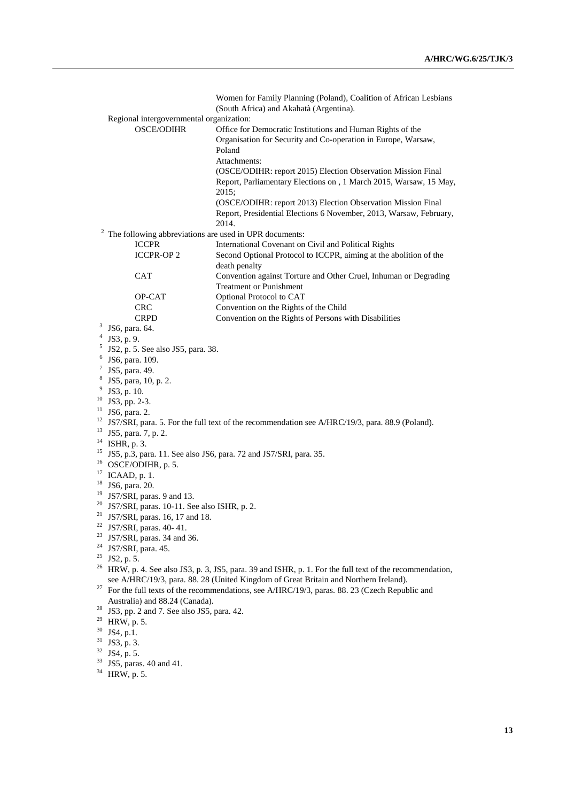|          |                                                                                                       | Women for Family Planning (Poland), Coalition of African Lesbians           |  |
|----------|-------------------------------------------------------------------------------------------------------|-----------------------------------------------------------------------------|--|
|          |                                                                                                       | (South Africa) and Akahatà (Argentina).                                     |  |
|          | Regional intergovernmental organization:                                                              |                                                                             |  |
|          | <b>OSCE/ODIHR</b>                                                                                     | Office for Democratic Institutions and Human Rights of the                  |  |
|          |                                                                                                       | Organisation for Security and Co-operation in Europe, Warsaw,<br>Poland     |  |
|          |                                                                                                       | Attachments:                                                                |  |
|          |                                                                                                       | (OSCE/ODIHR: report 2015) Election Observation Mission Final                |  |
|          |                                                                                                       | Report, Parliamentary Elections on, 1 March 2015, Warsaw, 15 May,           |  |
|          |                                                                                                       | 2015;<br>(OSCE/ODIHR: report 2013) Election Observation Mission Final       |  |
|          |                                                                                                       | Report, Presidential Elections 6 November, 2013, Warsaw, February,<br>2014. |  |
| 2        |                                                                                                       | The following abbreviations are used in UPR documents:                      |  |
|          | <b>ICCPR</b>                                                                                          | International Covenant on Civil and Political Rights                        |  |
|          | <b>ICCPR-OP2</b>                                                                                      | Second Optional Protocol to ICCPR, aiming at the abolition of the           |  |
|          |                                                                                                       | death penalty                                                               |  |
|          | <b>CAT</b>                                                                                            | Convention against Torture and Other Cruel, Inhuman or Degrading            |  |
|          |                                                                                                       | <b>Treatment or Punishment</b>                                              |  |
|          | OP-CAT                                                                                                | Optional Protocol to CAT                                                    |  |
|          | <b>CRC</b>                                                                                            | Convention on the Rights of the Child                                       |  |
|          | <b>CRPD</b>                                                                                           | Convention on the Rights of Persons with Disabilities                       |  |
| 3        | JS6, para. 64.                                                                                        |                                                                             |  |
|          | $4$ JS3, p. 9.                                                                                        |                                                                             |  |
| 6        | $5$ JS2, p. 5. See also JS5, para. 38.                                                                |                                                                             |  |
| $\tau$   | JS6, para. 109.                                                                                       |                                                                             |  |
| 8        | JS5, para. 49.<br>JS5, para, 10, p. 2.                                                                |                                                                             |  |
| 9        | JS3, p. 10.                                                                                           |                                                                             |  |
| 10       | JS3, pp. 2-3.                                                                                         |                                                                             |  |
| 11       | JS6, para. 2.                                                                                         |                                                                             |  |
| 12       | JS7/SRI, para. 5. For the full text of the recommendation see A/HRC/19/3, para. 88.9 (Poland).        |                                                                             |  |
| 13       | JS5, para. 7, p. 2.                                                                                   |                                                                             |  |
| 14       | ISHR, p. 3.                                                                                           |                                                                             |  |
| 15       |                                                                                                       | JS5, p.3, para. 11. See also JS6, para. 72 and JS7/SRI, para. 35.           |  |
|          | 16<br>OSCE/ODIHR, p. 5.                                                                               |                                                                             |  |
|          | 17<br>ICAAD, p. 1.                                                                                    |                                                                             |  |
| 18<br>19 | JS6, para. 20.                                                                                        |                                                                             |  |
| 20       | JS7/SRI, paras. 9 and 13.                                                                             |                                                                             |  |
| 21       | JS7/SRI, paras. 10-11. See also ISHR, p. 2.<br>JS7/SRI, paras. 16, 17 and 18.                         |                                                                             |  |
| $22\,$   | JS7/SRI, paras. 40-41.                                                                                |                                                                             |  |
| 23       | JS7/SRI, paras. 34 and 36.                                                                            |                                                                             |  |
| 24       | JS7/SRI, para. 45.                                                                                    |                                                                             |  |
| 25       | JS2, p. 5.                                                                                            |                                                                             |  |
| 26       | HRW, p. 4. See also JS3, p. 3, JS5, para. 39 and ISHR, p. 1. For the full text of the recommendation, |                                                                             |  |
|          | see A/HRC/19/3, para. 88. 28 (United Kingdom of Great Britain and Northern Ireland).                  |                                                                             |  |
| 27       | For the full texts of the recommendations, see A/HRC/19/3, paras. 88. 23 (Czech Republic and          |                                                                             |  |
|          | Australia) and 88.24 (Canada).                                                                        |                                                                             |  |
| 28       | JS3, pp. 2 and 7. See also JS5, para. 42.                                                             |                                                                             |  |
| 29       | HRW, p. 5.                                                                                            |                                                                             |  |
| 30<br>31 | JS4, p.1.                                                                                             |                                                                             |  |
| 32       | JS3, p. 3.                                                                                            |                                                                             |  |
| 33       | JS4, p. 5.                                                                                            |                                                                             |  |
| 34       | JS5, paras. 40 and 41.<br>HRW, p. 5.                                                                  |                                                                             |  |
|          |                                                                                                       |                                                                             |  |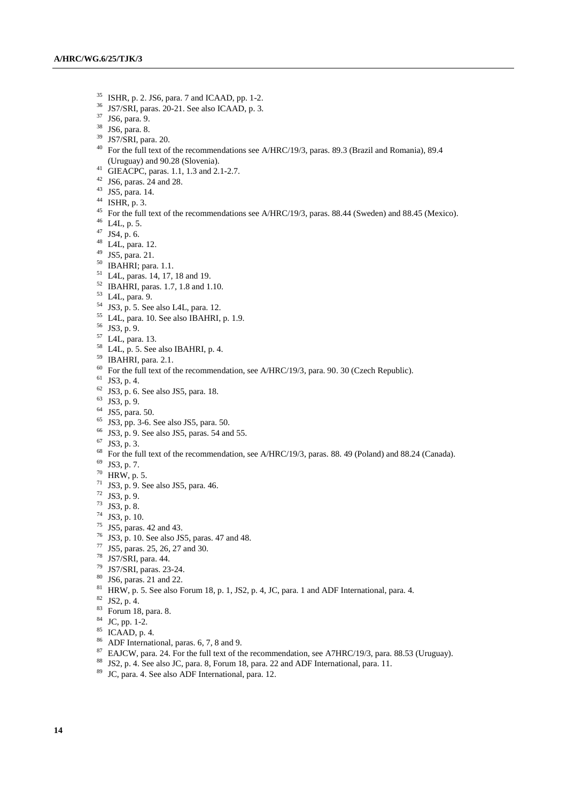- <sup>35</sup> ISHR, p. 2. JS6, para. 7 and ICAAD, pp. 1-2.<br><sup>36</sup> IS7/SPJ paras. 20.21. See also ICAAD, p. 3.
- JS7/SRI, paras. 20-21. See also ICAAD, p. 3.
- JS6, para. 9.
- JS6, para. 8.
- JS7/SRI, para. 20.
- <sup>40</sup> For the full text of the recommendations see A/HRC/19/3, paras. 89.3 (Brazil and Romania), 89.4 (Uruguay) and 90.28 (Slovenia).
- GIEACPC, paras. 1.1, 1.3 and 2.1-2.7.
- JS6, paras. 24 and 28.
- JS5, para. 14.
- ISHR, p. 3.
- <sup>45</sup> For the full text of the recommendations see A/HRC/19/3, paras. 88.44 (Sweden) and 88.45 (Mexico).
- L4L, p. 5.
- JS4, p. 6.
- L4L, para. 12.
- JS5, para. 21.
- IBAHRI; para. 1.1.
- L4L, paras. 14, 17, 18 and 19.
- IBAHRI, paras. 1.7, 1.8 and 1.10.
- L4L, para. 9.
- JS3, p. 5. See also L4L, para. 12.
- L4L, para. 10. See also IBAHRI, p. 1.9.
- JS3, p. 9.
- L4L, para. 13.
- L4L, p. 5. See also IBAHRI, p. 4.
- IBAHRI, para. 2.1.
- For the full text of the recommendation, see A/HRC/19/3, para. 90. 30 (Czech Republic).
- JS3, p. 4.
- JS3, p. 6. See also JS5, para. 18.
- JS3, p. 9.
- JS5, para. 50.
- JS3, pp. 3-6. See also JS5, para. 50.
- JS3, p. 9. See also JS5, paras. 54 and 55.
- JS3, p. 3.
- <sup>68</sup> For the full text of the recommendation, see A/HRC/19/3, paras. 88. 49 (Poland) and 88.24 (Canada).
- JS3, p. 7.
- HRW, p. 5.
- JS3, p. 9. See also JS5, para. 46.
- JS3, p. 9.
- JS3, p. 8.
- JS3, p. 10.
- JS5, paras. 42 and 43.
- JS3, p. 10. See also JS5, paras. 47 and 48.
- JS5, paras. 25, 26, 27 and 30.
- JS7/SRI, para. 44.
- JS7/SRI, paras. 23-24.
- JS6, paras. 21 and 22.
- <sup>81</sup> HRW, p. 5. See also Forum 18, p. 1, JS2, p. 4, JC, para. 1 and ADF International, para. 4.
- JS2, p. 4.
- Forum 18, para. 8.
- JC, pp. 1-2.
- ICAAD, p. 4.
- ADF International, paras. 6, 7, 8 and 9.
- <sup>87</sup> EAJCW, para. 24. For the full text of the recommendation, see A7HRC/19/3, para. 88.53 (Uruguay).
- JS2, p. 4. See also JC, para. 8, Forum 18, para. 22 and ADF International, para. 11.
- JC, para. 4. See also ADF International, para. 12.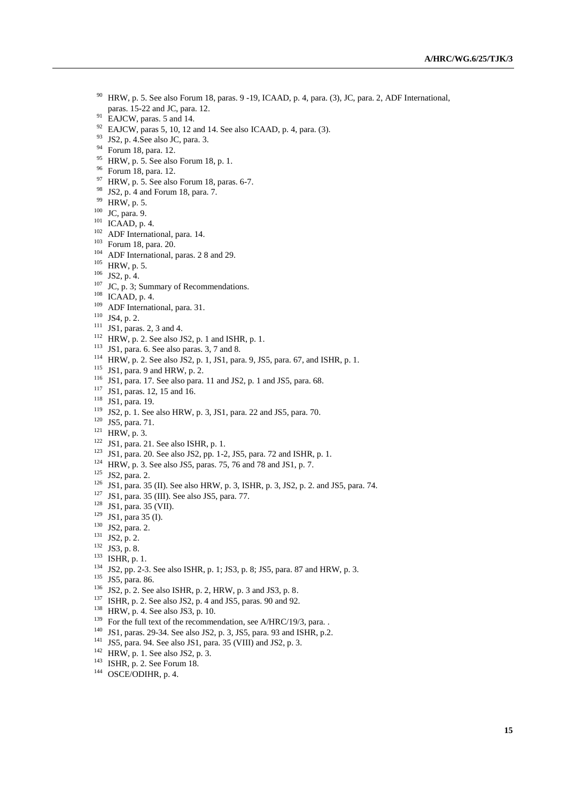- HRW, p. 5. See also Forum 18, paras. 9 -19, ICAAD, p. 4, para. (3), JC, para. 2, ADF International, paras. 15-22 and JC, para. 12.
- <sup>91</sup> EAJCW, paras. 5 and 14.
- EAJCW, paras 5, 10, 12 and 14. See also ICAAD, p. 4, para. (3).
- JS2, p. 4.See also JC, para. 3.
- Forum 18, para. 12.
- <sup>95</sup> HRW, p. 5. See also Forum 18, p. 1.
- Forum 18, para. 12.
- HRW, p. 5. See also Forum 18, paras. 6-7.
- JS2, p. 4 and Forum 18, para. 7.
- HRW, p. 5.
- JC, para. 9.
- ICAAD, p. 4.
- ADF International, para. 14.
- Forum 18, para. 20.
- <sup>104</sup> ADF International, paras. 2 8 and 29.
- HRW, p. 5.
- JS2, p. 4.
- JC, p. 3; Summary of Recommendations.
- ICAAD, p. 4.
- ADF International, para. 31.
- JS4, p. 2.
- JS1, paras. 2, 3 and 4.
- HRW, p. 2. See also JS2, p. 1 and ISHR, p. 1.
- JS1, para. 6. See also paras. 3, 7 and 8.
- HRW, p. 2. See also JS2, p. 1, JS1, para. 9, JS5, para. 67, and ISHR, p. 1.
- JS1, para. 9 and HRW, p. 2.
- JS1, para. 17. See also para. 11 and JS2, p. 1 and JS5, para. 68.
- <sup>117</sup> JS1, paras. 12, 15 and 16.
- JS1, para. 19.
- JS2, p. 1. See also HRW, p. 3, JS1, para. 22 and JS5, para. 70.
- <sup>120</sup> JS5, para. 71.
- HRW, p. 3.
- JS1, para. 21. See also ISHR, p. 1.
- JS1, para. 20. See also JS2, pp. 1-2, JS5, para. 72 and ISHR, p. 1.
- HRW, p. 3. See also JS5, paras. 75, 76 and 78 and JS1, p. 7.
- JS2, para. 2.
- JS1, para. 35 (II). See also HRW, p. 3, ISHR, p. 3, JS2, p. 2. and JS5, para. 74.
- JS1, para. 35 (III). See also JS5, para. 77.
- <sup>128</sup> JS1, para. 35 (VII).
- JS1, para 35 (I).
- JS2, para. 2.
- JS2, p. 2.
- JS3, p. 8.
- ISHR, p. 1.
- 
- JS2, pp. 2-3. See also ISHR, p. 1; JS3, p. 8; JS5, para. 87 and HRW, p. 3.
- <sup>135</sup> JS5, para. 86.
- JS2, p. 2. See also ISHR, p. 2, HRW, p. 3 and JS3, p. 8.
- ISHR, p. 2. See also JS2, p. 4 and JS5, paras. 90 and 92.
- HRW, p. 4. See also JS3, p. 10.
- <sup>139</sup> For the full text of the recommendation, see A/HRC/19/3, para. .
- JS1, paras. 29-34. See also JS2, p. 3, JS5, para. 93 and ISHR, p.2.
- JS5, para. 94. See also JS1, para. 35 (VIII) and JS2, p. 3.
- HRW, p. 1. See also JS2, p. 3.
- <sup>143</sup> ISHR, p. 2. See Forum 18.
- <sup>144</sup> OSCE/ODIHR, p. 4.